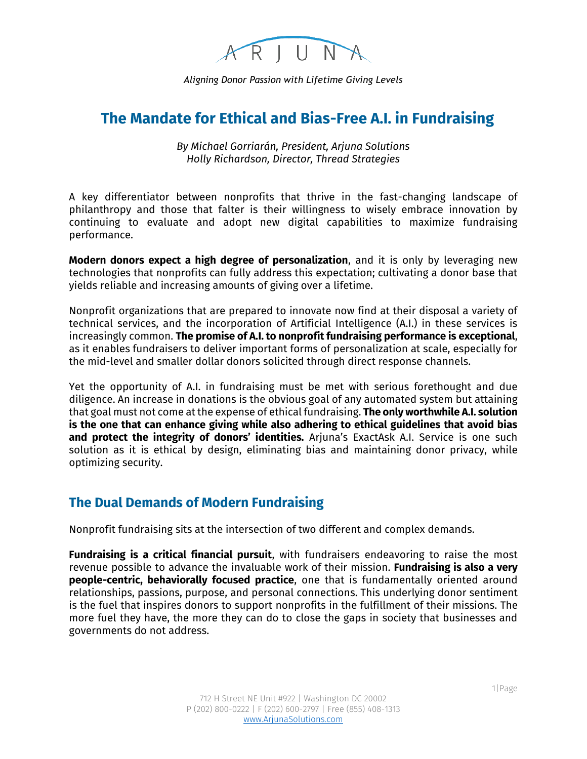

# **The Mandate for Ethical and Bias-Free A.I. in Fundraising**

*By Michael Gorriarán, President, Arjuna Solutions Holly Richardson, Director, Thread Strategies*

A key differentiator between nonprofits that thrive in the fast-changing landscape of philanthropy and those that falter is their willingness to wisely embrace innovation by continuing to evaluate and adopt new digital capabilities to maximize fundraising performance.

**Modern donors expect a high degree of personalization**, and it is only by leveraging new technologies that nonprofits can fully address this expectation; cultivating a donor base that yields reliable and increasing amounts of giving over a lifetime.

Nonprofit organizations that are prepared to innovate now find at their disposal a variety of technical services, and the incorporation of Artificial Intelligence (A.I.) in these services is increasingly common. **The promise of A.I. to nonprofit fundraising performance is exceptional**, as it enables fundraisers to deliver important forms of personalization at scale, especially for the mid-level and smaller dollar donors solicited through direct response channels.

Yet the opportunity of A.I. in fundraising must be met with serious forethought and due diligence. An increase in donations is the obvious goal of any automated system but attaining that goal must not come at the expense of ethical fundraising. **The only worthwhile A.I. solution is the one that can enhance giving while also adhering to ethical guidelines that avoid bias and protect the integrity of donors' identities.** Arjuna's ExactAsk A.I. Service is one such solution as it is ethical by design, eliminating bias and maintaining donor privacy, while optimizing security.

### **The Dual Demands of Modern Fundraising**

Nonprofit fundraising sits at the intersection of two different and complex demands.

**Fundraising is a critical financial pursuit**, with fundraisers endeavoring to raise the most revenue possible to advance the invaluable work of their mission. **Fundraising is also a very people-centric, behaviorally focused practice**, one that is fundamentally oriented around relationships, passions, purpose, and personal connections. This underlying donor sentiment is the fuel that inspires donors to support nonprofits in the fulfillment of their missions. The more fuel they have, the more they can do to close the gaps in society that businesses and governments do not address.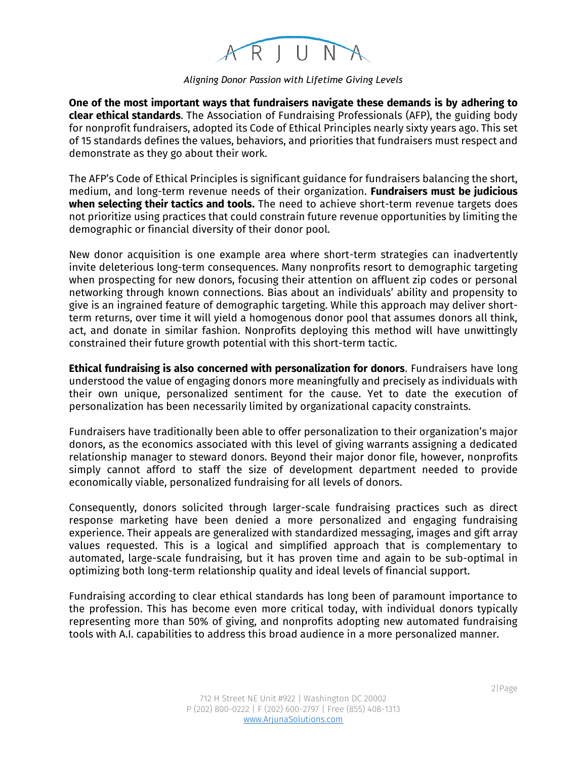

**One of the most important ways that fundraisers navigate these demands is by adhering to clear ethical standards**. The Association of Fundraising Professionals (AFP), the guiding body for nonprofit fundraisers, adopted its Code of Ethical Principles nearly sixty years ago. This set of 15 standards defines the values, behaviors, and priorities that fundraisers must respect and demonstrate as they go about their work.

The AFP's Code of Ethical Principles is significant guidance for fundraisers balancing the short, medium, and long-term revenue needs of their organization. **Fundraisers must be judicious when selecting their tactics and tools.** The need to achieve short-term revenue targets does not prioritize using practices that could constrain future revenue opportunities by limiting the demographic or financial diversity of their donor pool.

New donor acquisition is one example area where short-term strategies can inadvertently invite deleterious long-term consequences. Many nonprofits resort to demographic targeting when prospecting for new donors, focusing their attention on affluent zip codes or personal networking through known connections. Bias about an individuals' ability and propensity to give is an ingrained feature of demographic targeting. While this approach may deliver shortterm returns, over time it will yield a homogenous donor pool that assumes donors all think, act, and donate in similar fashion. Nonprofits deploying this method will have unwittingly constrained their future growth potential with this short-term tactic.

**Ethical fundraising is also concerned with personalization for donors**. Fundraisers have long understood the value of engaging donors more meaningfully and precisely as individuals with their own unique, personalized sentiment for the cause. Yet to date the execution of personalization has been necessarily limited by organizational capacity constraints.

Fundraisers have traditionally been able to offer personalization to their organization's major donors, as the economics associated with this level of giving warrants assigning a dedicated relationship manager to steward donors. Beyond their major donor file, however, nonprofits simply cannot afford to staff the size of development department needed to provide economically viable, personalized fundraising for all levels of donors.

Consequently, donors solicited through larger-scale fundraising practices such as direct response marketing have been denied a more personalized and engaging fundraising experience. Their appeals are generalized with standardized messaging, images and gift array values requested. This is a logical and simplified approach that is complementary to automated, large-scale fundraising, but it has proven time and again to be sub-optimal in optimizing both long-term relationship quality and ideal levels of financial support.

Fundraising according to clear ethical standards has long been of paramount importance to the profession. This has become even more critical today, with individual donors typically representing more than 50% of giving, and nonprofits adopting new automated fundraising tools with A.I. capabilities to address this broad audience in a more personalized manner.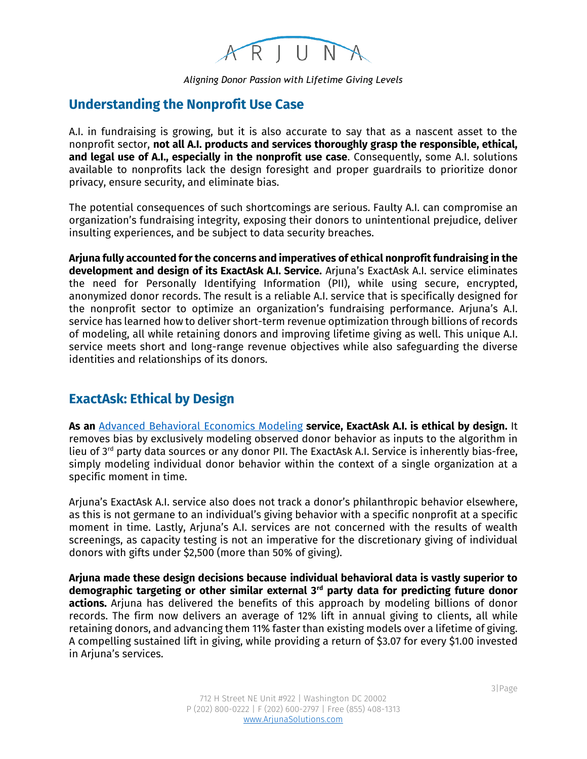

## **Understanding the Nonprofit Use Case**

A.I. in fundraising is growing, but it is also accurate to say that as a nascent asset to the nonprofit sector, **not all A.I. products and services thoroughly grasp the responsible, ethical, and legal use of A.I., especially in the nonprofit use case**. Consequently, some A.I. solutions available to nonprofits lack the design foresight and proper guardrails to prioritize donor privacy, ensure security, and eliminate bias.

The potential consequences of such shortcomings are serious. Faulty A.I. can compromise an organization's fundraising integrity, exposing their donors to unintentional prejudice, deliver insulting experiences, and be subject to data security breaches.

**Arjuna fully accounted for the concerns and imperatives of ethical nonprofit fundraising in the development and design of its ExactAsk A.I. Service.** Arjuna's ExactAsk A.I. service eliminates the need for Personally Identifying Information (PII), while using secure, encrypted, anonymized donor records. The result is a reliable A.I. service that is specifically designed for the nonprofit sector to optimize an organization's fundraising performance. Arjuna's A.I. service has learned how to deliver short-term revenue optimization through billions of records of modeling, all while retaining donors and improving lifetime giving as well. This unique A.I. service meets short and long-range revenue objectives while also safeguarding the diverse identities and relationships of its donors.

### **ExactAsk: Ethical by Design**

**As an** [Advanced Behavioral Economics Modeling](https://news.uchicago.edu/explainer/what-is-behavioral-economics) **service, ExactAsk A.I. is ethical by design.** It removes bias by exclusively modeling observed donor behavior as inputs to the algorithm in lieu of 3rd party data sources or any donor PII. The ExactAsk A.I. Service is inherently bias-free, simply modeling individual donor behavior within the context of a single organization at a specific moment in time.

Arjuna's ExactAsk A.I. service also does not track a donor's philanthropic behavior elsewhere, as this is not germane to an individual's giving behavior with a specific nonprofit at a specific moment in time. Lastly, Arjuna's A.I. services are not concerned with the results of wealth screenings, as capacity testing is not an imperative for the discretionary giving of individual donors with gifts under \$2,500 (more than 50% of giving).

**Arjuna made these design decisions because individual behavioral data is vastly superior to demographic targeting or other similar external 3rd party data for predicting future donor actions.** Arjuna has delivered the benefits of this approach by modeling billions of donor records. The firm now delivers an average of 12% lift in annual giving to clients, all while retaining donors, and advancing them 11% faster than existing models over a lifetime of giving. A compelling sustained lift in giving, while providing a return of \$3.07 for every \$1.00 invested in Arjuna's services.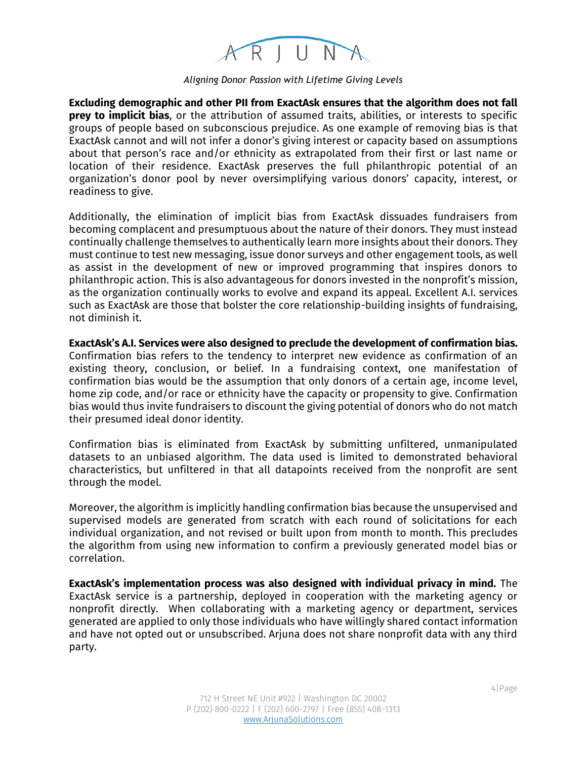

**Excluding demographic and other PII from ExactAsk ensures that the algorithm does not fall prey to implicit bias**, or the attribution of assumed traits, abilities, or interests to specific groups of people based on subconscious prejudice. As one example of removing bias is that ExactAsk cannot and will not infer a donor's giving interest or capacity based on assumptions about that person's race and/or ethnicity as extrapolated from their first or last name or location of their residence. ExactAsk preserves the full philanthropic potential of an organization's donor pool by never oversimplifying various donors' capacity, interest, or readiness to give.

Additionally, the elimination of implicit bias from ExactAsk dissuades fundraisers from becoming complacent and presumptuous about the nature of their donors. They must instead continually challenge themselves to authentically learn more insights about their donors. They must continue to test new messaging, issue donor surveys and other engagement tools, as well as assist in the development of new or improved programming that inspires donors to philanthropic action. This is also advantageous for donors invested in the nonprofit's mission, as the organization continually works to evolve and expand its appeal. Excellent A.I. services such as ExactAsk are those that bolster the core relationship-building insights of fundraising, not diminish it.

**ExactAsk's A.I. Services were also designed to preclude the development of confirmation bias.** Confirmation bias refers to the tendency to interpret new evidence as confirmation of an existing theory, conclusion, or belief. In a fundraising context, one manifestation of confirmation bias would be the assumption that only donors of a certain age, income level, home zip code, and/or race or ethnicity have the capacity or propensity to give. Confirmation bias would thus invite fundraisers to discount the giving potential of donors who do not match their presumed ideal donor identity.

Confirmation bias is eliminated from ExactAsk by submitting unfiltered, unmanipulated datasets to an unbiased algorithm. The data used is limited to demonstrated behavioral characteristics, but unfiltered in that all datapoints received from the nonprofit are sent through the model.

Moreover, the algorithm is implicitly handling confirmation bias because the unsupervised and supervised models are generated from scratch with each round of solicitations for each individual organization, and not revised or built upon from month to month. This precludes the algorithm from using new information to confirm a previously generated model bias or correlation.

**ExactAsk's implementation process was also designed with individual privacy in mind.** The ExactAsk service is a partnership, deployed in cooperation with the marketing agency or nonprofit directly. When collaborating with a marketing agency or department, services generated are applied to only those individuals who have willingly shared contact information and have not opted out or unsubscribed. Arjuna does not share nonprofit data with any third party.